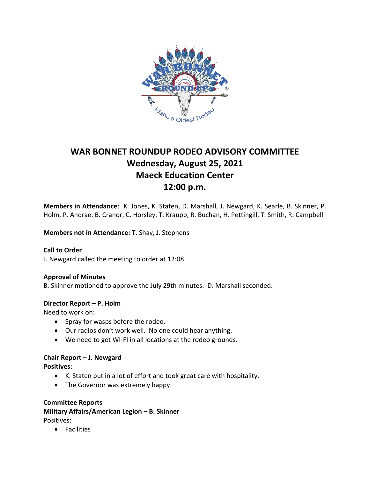

# **WAR BONNET ROUNDUP RODEO ADVISORY COMMITTEE Wednesday, August 25, 2021 Maeck Education Center 12:00 p.m.**

**Members in Attendance**: K. Jones, K. Staten, D. Marshall, J. Newgard, K. Searle, B. Skinner, P. Holm, P. Andrae, B. Cranor, C. Horsley, T. Kraupp, R. Buchan, H. Pettingill, T. Smith, R. Campbell

**Members not in Attendance:** T. Shay, J. Stephens

## **Call to Order**

J. Newgard called the meeting to order at 12:08

#### **Approval of Minutes**

B. Skinner motioned to approve the July 29th minutes. D. Marshall seconded.

#### **Director Report – P. Holm**

Need to work on:

- Spray for wasps before the rodeo.
- Our radios don't work well. No one could hear anything.
- We need to get WI-FI in all locations at the rodeo grounds.

#### **Chair Report – J. Newgard**

**Positives:**

- K. Staten put in a lot of effort and took great care with hospitality.
- The Governor was extremely happy.

#### **Committee Reports**

**Military Affairs/American Legion – B. Skinner** Positives:

• Facilities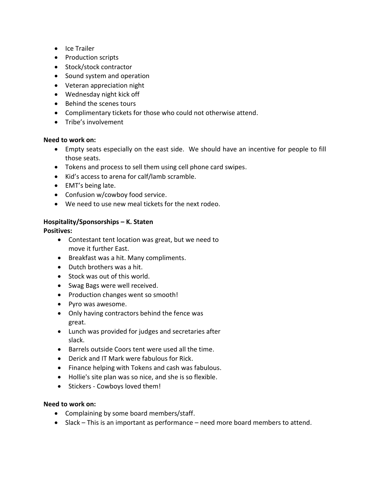- Ice Trailer
- Production scripts
- Stock/stock contractor
- Sound system and operation
- Veteran appreciation night
- Wednesday night kick off
- Behind the scenes tours
- Complimentary tickets for those who could not otherwise attend.
- Tribe's involvement

## **Need to work on:**

- Empty seats especially on the east side. We should have an incentive for people to fill those seats.
- Tokens and process to sell them using cell phone card swipes.
- Kid's access to arena for calf/lamb scramble.
- EMT's being late.
- Confusion w/cowboy food service.
- We need to use new meal tickets for the next rodeo.

# **Hospitality/Sponsorships – K. Staten**

# **Positives:**

- Contestant tent location was great, but we need to move it further East.
- Breakfast was a hit. Many compliments.
- Dutch brothers was a hit.
- Stock was out of this world.
- Swag Bags were well received. •
- Production changes went so smooth!
- Pyro was awesome.
- Only having contractors behind the fence was great.
- Lunch was provided for judges and secretaries after slack.
- Barrels outside Coors tent were used all the time.
- Derick and IT Mark were fabulous for Rick.
- Finance helping with Tokens and cash was fabulous.
- Hollie's site plan was so nice, and she is so flexible.
- Stickers Cowboys loved them!

# **Need to work on:**

- Complaining by some board members/staff.
- Slack This is an important as performance need more board members to attend.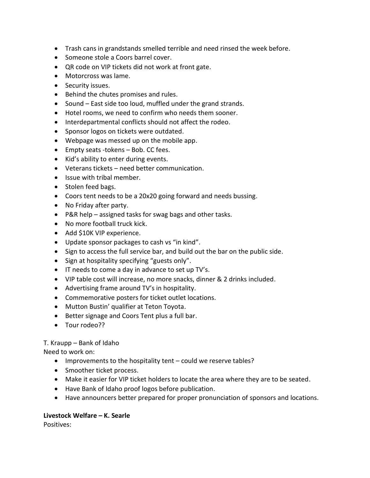- Trash cans in grandstands smelled terrible and need rinsed the week before.
- Someone stole a Coors barrel cover.
- QR code on VIP tickets did not work at front gate.
- Motorcross was lame.
- Security issues.
- Behind the chutes promises and rules.
- Sound East side too loud, muffled under the grand strands.
- Hotel rooms, we need to confirm who needs them sooner.
- Interdepartmental conflicts should not affect the rodeo.
- Sponsor logos on tickets were outdated.
- Webpage was messed up on the mobile app.
- Empty seats -tokens Bob. CC fees.
- Kid's ability to enter during events.
- Veterans tickets need better communication.
- Issue with tribal member.
- Stolen feed bags.
- Coors tent needs to be a 20x20 going forward and needs bussing.
- No Friday after party.
- P&R help assigned tasks for swag bags and other tasks.
- No more football truck kick.
- Add \$10K VIP experience.
- Update sponsor packages to cash vs "in kind".
- Sign to access the full service bar, and build out the bar on the public side.
- Sign at hospitality specifying "guests only".
- IT needs to come a day in advance to set up TV's.
- VIP table cost will increase, no more snacks, dinner & 2 drinks included.
- Advertising frame around TV's in hospitality.
- Commemorative posters for ticket outlet locations.
- Mutton Bustin' qualifier at Teton Toyota.
- Better signage and Coors Tent plus a full bar.
- Tour rodeo??

## T. Kraupp – Bank of Idaho

Need to work on:

- Improvements to the hospitality tent could we reserve tables?
- Smoother ticket process.
- Make it easier for VIP ticket holders to locate the area where they are to be seated.
- Have Bank of Idaho proof logos before publication.
- Have announcers better prepared for proper pronunciation of sponsors and locations.

# **Livestock Welfare – K. Searle**

Positives: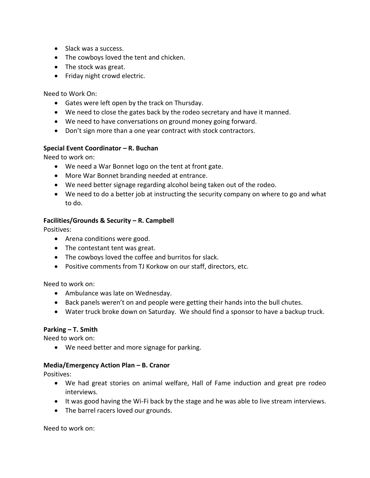- Slack was a success.
- The cowboys loved the tent and chicken.
- The stock was great.
- Friday night crowd electric.

Need to Work On:

- Gates were left open by the track on Thursday.
- We need to close the gates back by the rodeo secretary and have it manned.
- We need to have conversations on ground money going forward.
- Don't sign more than a one year contract with stock contractors.

## **Special Event Coordinator – R. Buchan**

Need to work on:

- We need a War Bonnet logo on the tent at front gate.
- More War Bonnet branding needed at entrance.
- We need better signage regarding alcohol being taken out of the rodeo.
- We need to do a better job at instructing the security company on where to go and what to do.

# **Facilities/Grounds & Security – R. Campbell**

Positives:

- Arena conditions were good.
- The contestant tent was great.
- The cowboys loved the coffee and burritos for slack.
- Positive comments from TJ Korkow on our staff, directors, etc.

Need to work on:

- Ambulance was late on Wednesday.
- Back panels weren't on and people were getting their hands into the bull chutes.
- Water truck broke down on Saturday. We should find a sponsor to have a backup truck.

# **Parking – T. Smith**

Need to work on:

• We need better and more signage for parking.

## **Media/Emergency Action Plan – B. Cranor**

Positives:

- We had great stories on animal welfare, Hall of Fame induction and great pre rodeo interviews.
- It was good having the Wi-Fi back by the stage and he was able to live stream interviews.
- The barrel racers loved our grounds.

Need to work on: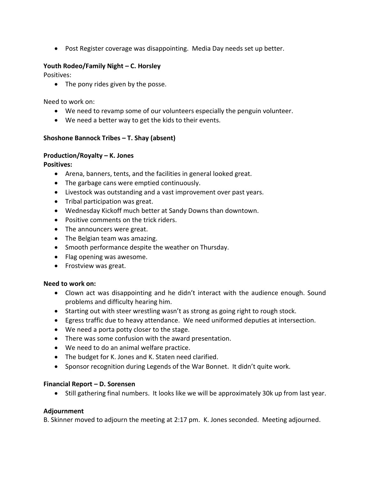• Post Register coverage was disappointing. Media Day needs set up better.

# **Youth Rodeo/Family Night – C. Horsley**

Positives:

• The pony rides given by the posse.

Need to work on:

- We need to revamp some of our volunteers especially the penguin volunteer.
- We need a better way to get the kids to their events.

## **Shoshone Bannock Tribes – T. Shay (absent)**

## **Production/Royalty – K. Jones**

**Positives:**

- Arena, banners, tents, and the facilities in general looked great.
- The garbage cans were emptied continuously.
- Livestock was outstanding and a vast improvement over past years.
- Tribal participation was great.
- Wednesday Kickoff much better at Sandy Downs than downtown.
- Positive comments on the trick riders.
- The announcers were great.
- The Belgian team was amazing.
- Smooth performance despite the weather on Thursday.
- Flag opening was awesome.
- Frostview was great.

## **Need to work on:**

- Clown act was disappointing and he didn't interact with the audience enough. Sound problems and difficulty hearing him.
- Starting out with steer wrestling wasn't as strong as going right to rough stock.
- Egress traffic due to heavy attendance. We need uniformed deputies at intersection.
- We need a porta potty closer to the stage.
- There was some confusion with the award presentation.
- We need to do an animal welfare practice.
- The budget for K. Jones and K. Staten need clarified.
- Sponsor recognition during Legends of the War Bonnet. It didn't quite work.

## **Financial Report – D. Sorensen**

• Still gathering final numbers. It looks like we will be approximately 30k up from last year.

## **Adjournment**

B. Skinner moved to adjourn the meeting at 2:17 pm. K. Jones seconded. Meeting adjourned.